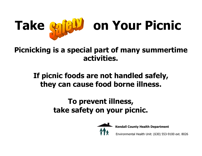

# **Take on Your Picnic**

**Picnicking is a special part of many summertime activities.**

# **If picnic foods are not handled safely, they can cause food borne illness.**

# **To prevent illness, take safety on your picnic.**



**Kendall County Health Department**

Environmental Health Unit: (630) 553-9100 ext. 8026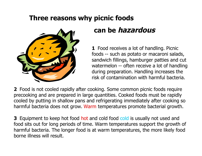#### **Three reasons why picnic foods**



# **can be hazardous**

**1** Food receives a lot of handling. Picnic foods -- such as potato or macaroni salads, sandwich fillings, hamburger patties and cut watermelon -- often receive a lot of handling during preparation. Handling increases the risk of contamination with harmful bacteria.

**2** Food is not cooled rapidly after cooking. Some common picnic foods require precooking and are prepared in large quantities. Cooked foods must be rapidly cooled by putting in shallow pans and refrigerating immediately after cooking so harmful bacteria does not grow. Warm temperatures promote bacterial growth.

**3** Equipment to keep hot food hot and cold food cold is usually not used and food sits out for long periods of time. Warm temperatures support the growth of harmful bacteria. The longer food is at warm temperatures, the more likely food borne illness will result.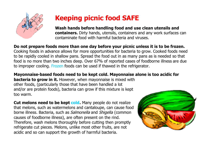

# **Keeping picnic food SAFE**

**Wash hands before handling food and use clean utensils and containers.** Dirty hands, utensils, containers and any work surfaces can contaminate food with harmful bacteria and viruses.

**Do not prepare foods more than one day before your picnic unless it is to be frozen.** Cooking foods in advance allows for more opportunities for bacteria to grow. Cooked foods need to be rapidly cooled in shallow pans. Spread the food out in as many pans as is needed so that food is no more than two inches deep. Over 67% of reported cases of foodborne illness are due to improper cooling. Frozen foods can be used if thawed in the refrigerator.

**Mayonnaise-based foods need to be kept cold. Mayonnaise alone is too acidic for bacteria to grow in it.** However, when mayonnaise is mixed with other foods, (particularly those that have been handled a lot and/or are protein foods), bacteria can grow if this mixture is kept too warm.

**Cut melons need to be kept cold.** Many people do not realize that melons, such as watermelons and cantaloupe, can cause food borne illness. Bacteria, such as Salmonella and Shigella (common causes of foodborne illness), are often present on the rind. Therefore, wash melons thoroughly before cutting then promptly refrigerate cut pieces. Melons, unlike most other fruits, are not acidic and so can support the growth of harmful bacteria.

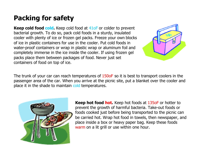### **Packing for safety**

**Keep cold food cold.** Keep cold food at 41oF or colder to prevent bacterial growth. To do so, pack cold foods in a sturdy, insulated cooler with plenty of ice or frozen gel packs. Freeze your own blocks of ice in plastic containers for use in the cooler. Put cold foods in water-proof containers or wrap in plastic wrap or aluminum foil and completely immerse in the ice inside the cooler. If using frozen gel packs place them between packages of food. Never just set containers of food on top of ice.



The trunk of your car can reach temperatures of 150oF so it is best to transport coolers in the passenger area of the car. When you arrive at the picnic site, put a blanket over the cooler and place it in the shade to maintain cold temperatures.



**Keep hot food hot.** Keep hot foods at 135oF or hotter to prevent the growth of harmful bacteria. Take-out foods or foods cooked just before being transported to the picnic can be carried hot. Wrap hot food in towels, then newspaper, and place inside a box or heavy paper bag. Keep these foods warm on a lit grill or use within one hour.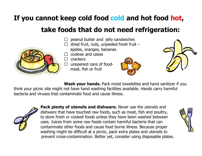### **If you cannot keep cold food cold and hot food hot,**

#### **take foods that do not need refrigeration:**

- peanut butter and jelly sandwiches
- dried fruit, nuts, unpeeled fresh fruit –
- apples, oranges, bananas
- $\Box$  cookies and cakes
- $\Box$  crackers
- $\Box$  unopened cans of foodmeat, fish or fruit





**Wash your hands.** Pack moist towelettes and hand sanitizer if you think your picnic site might not have hand washing facilities available. Hands carry harmful bacteria and viruses that contaminate food and cause illness.



**Pack plenty of utensils and dishware.** Never use the utensils and dishware that have touched raw foods, such as meat, fish and poultry, to store fresh or cooked foods unless they have been washed between uses. Juices from some raw foods contain harmful bacteria that can contaminate other foods and cause food borne illness. Because proper washing might be difficult at a picnic, pack extra plates and utensils to prevent cross-contamination. Better yet, consider using disposable plates.

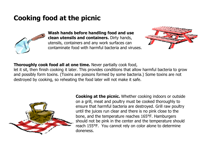#### **Cooking food at the picnic**



**Wash hands before handling food and use clean utensils and containers.** Dirty hands, utensils, containers and any work surfaces can contaminate food with harmful bacteria and viruses.



#### **Thoroughly cook food all at one time.** Never partially cook food,

let it sit, then finish cooking it later. This provides conditions that allow harmful bacteria to grow and possibly form toxins. (Toxins are poisons formed by some bacteria.) Some toxins are not destroyed by cooking, so reheating the food later will not make it safe.



**Cooking at the picnic.** Whether cooking indoors or outside on a grill, meat and poultry must be cooked thoroughly to ensure that harmful bacteria are destroyed. Grill raw poultry until the juices run clear and there is no pink close to the bone, and the temperature reaches 165°F. Hamburgers should not be pink in the center and the temperature should reach 155°F. You cannot rely on color alone to determine doneness.